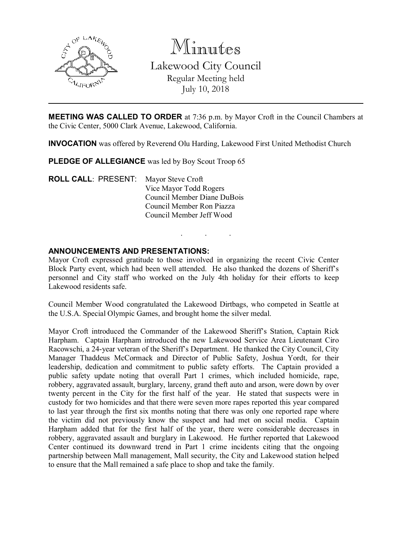

Minutes Lakewood City Council Regular Meeting held July 10, 2018

**MEETING WAS CALLED TO ORDER** at 7:36 p.m. by Mayor Croft in the Council Chambers at the Civic Center, 5000 Clark Avenue, Lakewood, California.

INVOCATION was offered by Reverend Olu Harding, Lakewood First United Methodist Church

PLEDGE OF ALLEGIANCE was led by Boy Scout Troop 65

ROLL CALL: PRESENT: Mayor Steve Croft Vice Mayor Todd Rogers Council Member Diane DuBois Council Member Ron Piazza Council Member Jeff Wood

#### ANNOUNCEMENTS AND PRESENTATIONS:

Mayor Croft expressed gratitude to those involved in organizing the recent Civic Center Block Party event, which had been well attended. He also thanked the dozens of Sheriff's personnel and City staff who worked on the July 4th holiday for their efforts to keep Lakewood residents safe.

. . .

Council Member Wood congratulated the Lakewood Dirtbags, who competed in Seattle at the U.S.A. Special Olympic Games, and brought home the silver medal.

Mayor Croft introduced the Commander of the Lakewood Sheriff's Station, Captain Rick Harpham. Captain Harpham introduced the new Lakewood Service Area Lieutenant Ciro Racowschi, a 24-year veteran of the Sheriff's Department. He thanked the City Council, City Manager Thaddeus McCormack and Director of Public Safety, Joshua Yordt, for their leadership, dedication and commitment to public safety efforts. The Captain provided a public safety update noting that overall Part 1 crimes, which included homicide, rape, robbery, aggravated assault, burglary, larceny, grand theft auto and arson, were down by over twenty percent in the City for the first half of the year. He stated that suspects were in custody for two homicides and that there were seven more rapes reported this year compared to last year through the first six months noting that there was only one reported rape where the victim did not previously know the suspect and had met on social media. Captain Harpham added that for the first half of the year, there were considerable decreases in robbery, aggravated assault and burglary in Lakewood. He further reported that Lakewood Center continued its downward trend in Part 1 crime incidents citing that the ongoing partnership between Mall management, Mall security, the City and Lakewood station helped to ensure that the Mall remained a safe place to shop and take the family.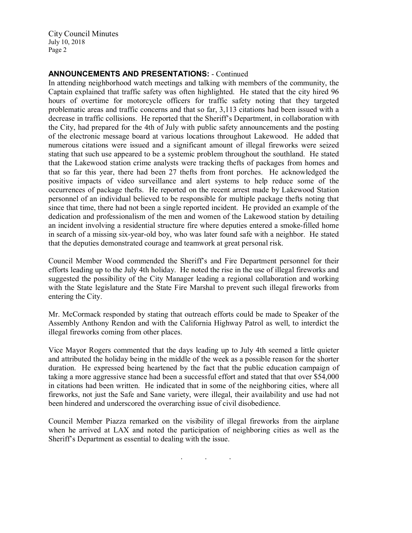City Council Minutes July 10, 2018 Page 2

## ANNOUNCEMENTS AND PRESENTATIONS: - Continued

In attending neighborhood watch meetings and talking with members of the community, the Captain explained that traffic safety was often highlighted. He stated that the city hired 96 hours of overtime for motorcycle officers for traffic safety noting that they targeted problematic areas and traffic concerns and that so far, 3,113 citations had been issued with a decrease in traffic collisions. He reported that the Sheriff's Department, in collaboration with the City, had prepared for the 4th of July with public safety announcements and the posting of the electronic message board at various locations throughout Lakewood. He added that numerous citations were issued and a significant amount of illegal fireworks were seized stating that such use appeared to be a systemic problem throughout the southland. He stated that the Lakewood station crime analysts were tracking thefts of packages from homes and that so far this year, there had been 27 thefts from front porches. He acknowledged the positive impacts of video surveillance and alert systems to help reduce some of the occurrences of package thefts. He reported on the recent arrest made by Lakewood Station personnel of an individual believed to be responsible for multiple package thefts noting that since that time, there had not been a single reported incident. He provided an example of the dedication and professionalism of the men and women of the Lakewood station by detailing an incident involving a residential structure fire where deputies entered a smoke-filled home in search of a missing six-year-old boy, who was later found safe with a neighbor. He stated that the deputies demonstrated courage and teamwork at great personal risk.

Council Member Wood commended the Sheriff's and Fire Department personnel for their efforts leading up to the July 4th holiday. He noted the rise in the use of illegal fireworks and suggested the possibility of the City Manager leading a regional collaboration and working with the State legislature and the State Fire Marshal to prevent such illegal fireworks from entering the City.

Mr. McCormack responded by stating that outreach efforts could be made to Speaker of the Assembly Anthony Rendon and with the California Highway Patrol as well, to interdict the illegal fireworks coming from other places.

Vice Mayor Rogers commented that the days leading up to July 4th seemed a little quieter and attributed the holiday being in the middle of the week as a possible reason for the shorter duration. He expressed being heartened by the fact that the public education campaign of taking a more aggressive stance had been a successful effort and stated that that over \$54,000 in citations had been written. He indicated that in some of the neighboring cities, where all fireworks, not just the Safe and Sane variety, were illegal, their availability and use had not been hindered and underscored the overarching issue of civil disobedience.

Council Member Piazza remarked on the visibility of illegal fireworks from the airplane when he arrived at LAX and noted the participation of neighboring cities as well as the Sheriff's Department as essential to dealing with the issue.

. . .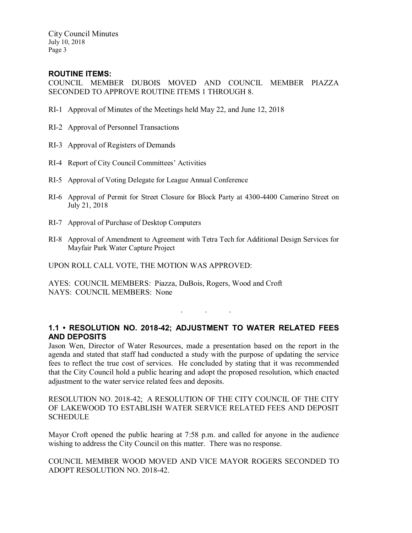City Council Minutes July 10, 2018 Page 3

### ROUTINE ITEMS:

COUNCIL MEMBER DUBOIS MOVED AND COUNCIL MEMBER PIAZZA SECONDED TO APPROVE ROUTINE ITEMS 1 THROUGH 8.

- RI-1 Approval of Minutes of the Meetings held May 22, and June 12, 2018
- RI-2 Approval of Personnel Transactions
- RI-3 Approval of Registers of Demands
- RI-4 Report of City Council Committees' Activities
- RI-5 Approval of Voting Delegate for League Annual Conference
- RI-6 Approval of Permit for Street Closure for Block Party at 4300-4400 Camerino Street on July 21, 2018
- RI-7 Approval of Purchase of Desktop Computers
- RI-8 Approval of Amendment to Agreement with Tetra Tech for Additional Design Services for Mayfair Park Water Capture Project

UPON ROLL CALL VOTE, THE MOTION WAS APPROVED:

AYES: COUNCIL MEMBERS: Piazza, DuBois, Rogers, Wood and Croft NAYS: COUNCIL MEMBERS: None

# 1.1 • RESOLUTION NO. 2018-42; ADJUSTMENT TO WATER RELATED FEES AND DEPOSITS

. . .

Jason Wen, Director of Water Resources, made a presentation based on the report in the agenda and stated that staff had conducted a study with the purpose of updating the service fees to reflect the true cost of services. He concluded by stating that it was recommended that the City Council hold a public hearing and adopt the proposed resolution, which enacted adjustment to the water service related fees and deposits.

RESOLUTION NO. 2018-42; A RESOLUTION OF THE CITY COUNCIL OF THE CITY OF LAKEWOOD TO ESTABLISH WATER SERVICE RELATED FEES AND DEPOSIT **SCHEDULE** 

Mayor Croft opened the public hearing at 7:58 p.m. and called for anyone in the audience wishing to address the City Council on this matter. There was no response.

COUNCIL MEMBER WOOD MOVED AND VICE MAYOR ROGERS SECONDED TO ADOPT RESOLUTION NO. 2018-42.